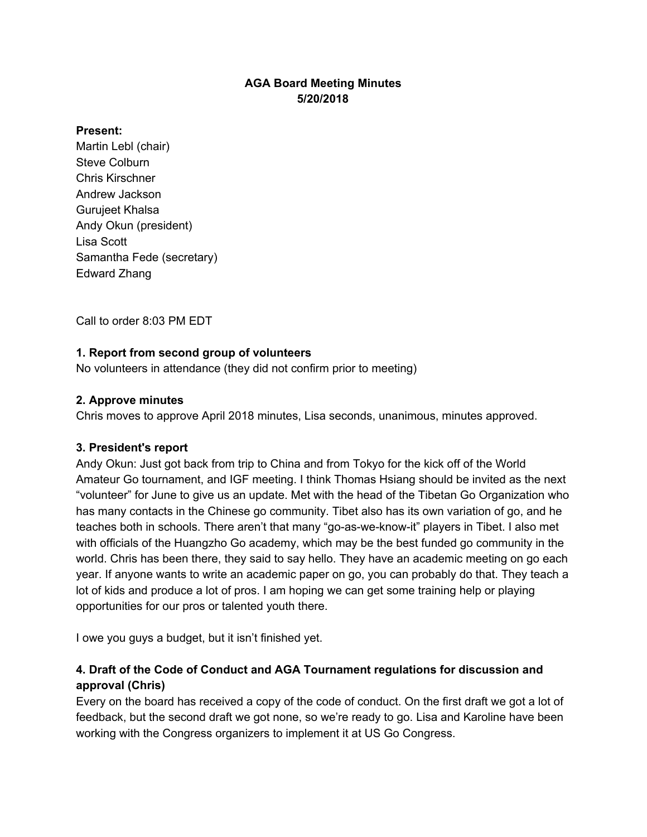# **AGA Board Meeting Minutes 5/20/2018**

#### **Present:**

Martin Lebl (chair) Steve Colburn Chris Kirschner Andrew Jackson Gurujeet Khalsa Andy Okun (president) Lisa Scott Samantha Fede (secretary) Edward Zhang

Call to order 8:03 PM EDT

# **1. Report from second group of volunteers**

No volunteers in attendance (they did not confirm prior to meeting)

## **2. Approve minutes**

Chris moves to approve April 2018 minutes, Lisa seconds, unanimous, minutes approved.

## **3. President's report**

Andy Okun: Just got back from trip to China and from Tokyo for the kick off of the World Amateur Go tournament, and IGF meeting. I think Thomas Hsiang should be invited as the next "volunteer" for June to give us an update. Met with the head of the Tibetan Go Organization who has many contacts in the Chinese go community. Tibet also has its own variation of go, and he teaches both in schools. There aren't that many "go-as-we-know-it" players in Tibet. I also met with officials of the Huangzho Go academy, which may be the best funded go community in the world. Chris has been there, they said to say hello. They have an academic meeting on go each year. If anyone wants to write an academic paper on go, you can probably do that. They teach a lot of kids and produce a lot of pros. I am hoping we can get some training help or playing opportunities for our pros or talented youth there.

I owe you guys a budget, but it isn't finished yet.

# **4. Draft of the Code of Conduct and AGA Tournament regulations for discussion and approval (Chris)**

Every on the board has received a copy of the code of conduct. On the first draft we got a lot of feedback, but the second draft we got none, so we're ready to go. Lisa and Karoline have been working with the Congress organizers to implement it at US Go Congress.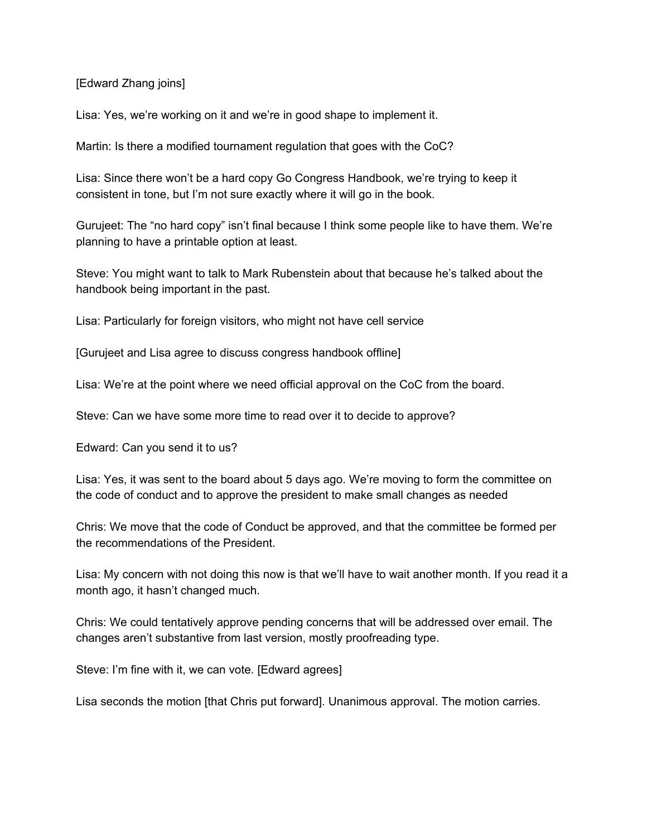#### [Edward Zhang joins]

Lisa: Yes, we're working on it and we're in good shape to implement it.

Martin: Is there a modified tournament regulation that goes with the CoC?

Lisa: Since there won't be a hard copy Go Congress Handbook, we're trying to keep it consistent in tone, but I'm not sure exactly where it will go in the book.

Gurujeet: The "no hard copy" isn't final because I think some people like to have them. We're planning to have a printable option at least.

Steve: You might want to talk to Mark Rubenstein about that because he's talked about the handbook being important in the past.

Lisa: Particularly for foreign visitors, who might not have cell service

[Gurujeet and Lisa agree to discuss congress handbook offline]

Lisa: We're at the point where we need official approval on the CoC from the board.

Steve: Can we have some more time to read over it to decide to approve?

Edward: Can you send it to us?

Lisa: Yes, it was sent to the board about 5 days ago. We're moving to form the committee on the code of conduct and to approve the president to make small changes as needed

Chris: We move that the code of Conduct be approved, and that the committee be formed per the recommendations of the President.

Lisa: My concern with not doing this now is that we'll have to wait another month. If you read it a month ago, it hasn't changed much.

Chris: We could tentatively approve pending concerns that will be addressed over email. The changes aren't substantive from last version, mostly proofreading type.

Steve: I'm fine with it, we can vote. [Edward agrees]

Lisa seconds the motion [that Chris put forward]. Unanimous approval. The motion carries.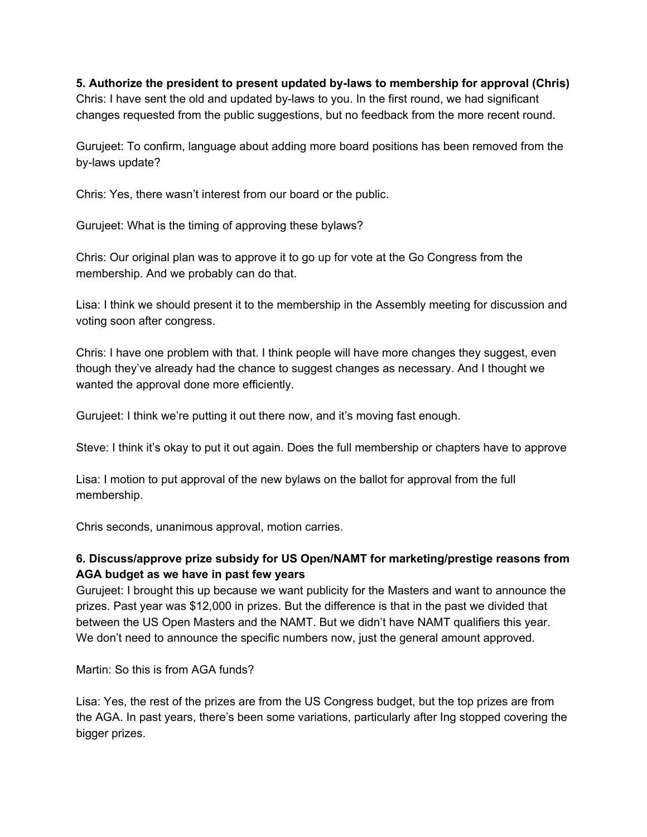**5. Authorize the president to present updated by-laws to membership for approval (Chris)** Chris: I have sent the old and updated by-laws to you. In the first round, we had significant changes requested from the public suggestions, but no feedback from the more recent round.

Gurujeet: To confirm, language about adding more board positions has been removed from the by-laws update?

Chris: Yes, there wasn't interest from our board or the public.

Gurujeet: What is the timing of approving these bylaws?

Chris: Our original plan was to approve it to go up for vote at the Go Congress from the membership. And we probably can do that.

Lisa: I think we should present it to the membership in the Assembly meeting for discussion and voting soon after congress.

Chris: I have one problem with that. I think people will have more changes they suggest, even though they've already had the chance to suggest changes as necessary. And I thought we wanted the approval done more efficiently.

Gurujeet: I think we're putting it out there now, and it's moving fast enough.

Steve: I think it's okay to put it out again. Does the full membership or chapters have to approve

Lisa: I motion to put approval of the new bylaws on the ballot for approval from the full membership.

Chris seconds, unanimous approval, motion carries.

# **6. Discuss/approve prize subsidy for US Open/NAMT for marketing/prestige reasons from AGA budget as we have in past few years**

Gurujeet: I brought this up because we want publicity for the Masters and want to announce the prizes. Past year was \$12,000 in prizes. But the difference is that in the past we divided that between the US Open Masters and the NAMT. But we didn't have NAMT qualifiers this year. We don't need to announce the specific numbers now, just the general amount approved.

Martin: So this is from AGA funds?

Lisa: Yes, the rest of the prizes are from the US Congress budget, but the top prizes are from the AGA. In past years, there's been some variations, particularly after Ing stopped covering the bigger prizes.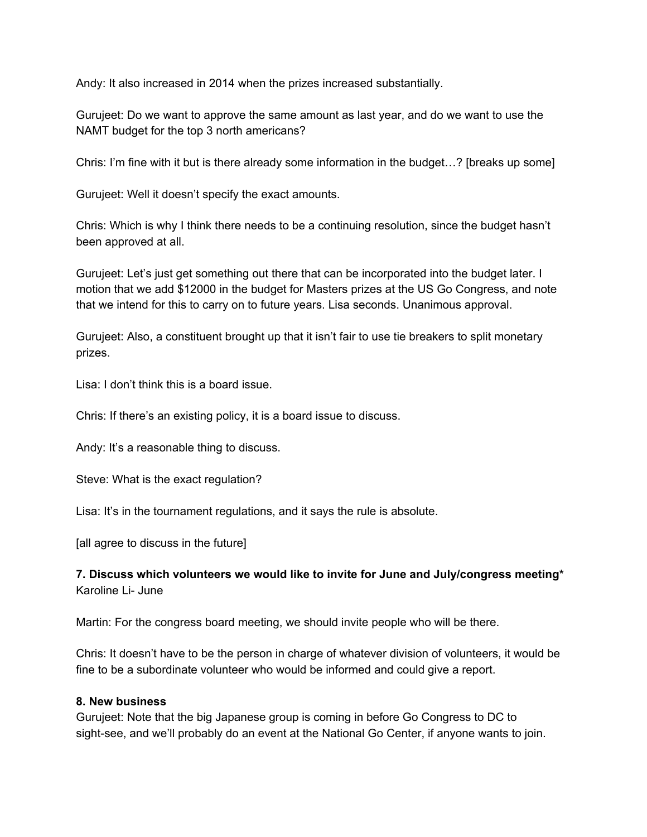Andy: It also increased in 2014 when the prizes increased substantially.

Gurujeet: Do we want to approve the same amount as last year, and do we want to use the NAMT budget for the top 3 north americans?

Chris: I'm fine with it but is there already some information in the budget…? [breaks up some]

Gurujeet: Well it doesn't specify the exact amounts.

Chris: Which is why I think there needs to be a continuing resolution, since the budget hasn't been approved at all.

Gurujeet: Let's just get something out there that can be incorporated into the budget later. I motion that we add \$12000 in the budget for Masters prizes at the US Go Congress, and note that we intend for this to carry on to future years. Lisa seconds. Unanimous approval.

Gurujeet: Also, a constituent brought up that it isn't fair to use tie breakers to split monetary prizes.

Lisa: I don't think this is a board issue.

Chris: If there's an existing policy, it is a board issue to discuss.

Andy: It's a reasonable thing to discuss.

Steve: What is the exact regulation?

Lisa: It's in the tournament regulations, and it says the rule is absolute.

[all agree to discuss in the future]

#### **7. Discuss which volunteers we would like to invite for June and July/congress meeting\*** Karoline Li- June

Martin: For the congress board meeting, we should invite people who will be there.

Chris: It doesn't have to be the person in charge of whatever division of volunteers, it would be fine to be a subordinate volunteer who would be informed and could give a report.

#### **8. New business**

Gurujeet: Note that the big Japanese group is coming in before Go Congress to DC to sight-see, and we'll probably do an event at the National Go Center, if anyone wants to join.